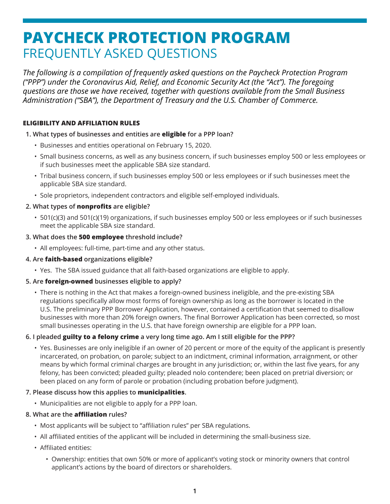# **PAYCHECK PROTECTION PROGRAM** FREQUENTLY ASKED QUESTIONS

*The following is a compilation of frequently asked questions on the Paycheck Protection Program ("PPP") under the Coronavirus Aid, Relief, and Economic Security Act (the "Act"). The foregoing questions are those we have received, together with questions available from the Small Business Administration ("SBA"), the Department of Treasury and the U.S. Chamber of Commerce.*

# **ELIGIBILITY AND AFFILIATION RULES**

#### **1. What types of businesses and entities are eligible for a PPP loan?**

- Businesses and entities operational on February 15, 2020.
- Small business concerns, as well as any business concern, if such businesses employ 500 or less employees or if such businesses meet the applicable SBA size standard.
- Tribal business concern, if such businesses employ 500 or less employees or if such businesses meet the applicable SBA size standard.
- Sole proprietors, independent contractors and eligible self-employed individuals.

# **2. What types of nonprofits are eligible?**

• 501(c)(3) and 501(c)(19) organizations, if such businesses employ 500 or less employees or if such businesses meet the applicable SBA size standard.

#### **3. What does the 500 employee threshold include?**

• All employees: full-time, part-time and any other status.

# **4. Are faith-based organizations eligible?**

• Yes. The SBA issued guidance that all faith-based organizations are eligible to apply.

# **5. Are foreign-owned businesses eligible to apply?**

• There is nothing in the Act that makes a foreign-owned business ineligible, and the pre-existing SBA regulations specifically allow most forms of foreign ownership as long as the borrower is located in the U.S. The preliminary PPP Borrower Application, however, contained a certification that seemed to disallow businesses with more than 20% foreign owners. The final Borrower Application has been corrected, so most small businesses operating in the U.S. that have foreign ownership are eligible for a PPP loan.

# **6. I pleaded guilty to a felony crime a very long time ago. Am I still eligible for the PPP?**

• Yes. Businesses are only ineligible if an owner of 20 percent or more of the equity of the applicant is presently incarcerated, on probation, on parole; subject to an indictment, criminal information, arraignment, or other means by which formal criminal charges are brought in any jurisdiction; or, within the last five years, for any felony, has been convicted; pleaded guilty; pleaded nolo contendere; been placed on pretrial diversion; or been placed on any form of parole or probation (including probation before judgment).

# **7. Please discuss how this applies to municipalities.**

• Municipalities are not eligible to apply for a PPP loan.

#### **8. What are the affiliation rules?**

- Most applicants will be subject to "affiliation rules" per SBA regulations.
- All affiliated entities of the applicant will be included in determining the small-business size.
- Affiliated entities:
	- Ownership: entities that own 50% or more of applicant's voting stock or minority owners that control applicant's actions by the board of directors or shareholders.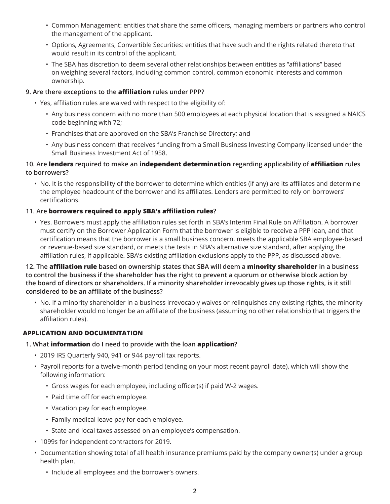- Common Management: entities that share the same officers, managing members or partners who control the management of the applicant.
- Options, Agreements, Convertible Securities: entities that have such and the rights related thereto that would result in its control of the applicant.
- The SBA has discretion to deem several other relationships between entities as "affiliations" based on weighing several factors, including common control, common economic interests and common ownership.

# **9. Are there exceptions to the affiliation rules under PPP?**

- Yes, affiliation rules are waived with respect to the eligibility of:
	- Any business concern with no more than 500 employees at each physical location that is assigned a NAICS code beginning with 72;
	- Franchises that are approved on the SBA's Franchise Directory; and
	- Any business concern that receives funding from a Small Business Investing Company licensed under the Small Business Investment Act of 1958.

# **10. Are lenders required to make an independent determination regarding applicability of affiliation rules to borrowers?**

• No. It is the responsibility of the borrower to determine which entities (if any) are its affiliates and determine the employee headcount of the borrower and its affiliates. Lenders are permitted to rely on borrowers' certifications.

# **11. Are borrowers required to apply SBA's affiliation rules?**

• Yes. Borrowers must apply the affiliation rules set forth in SBA's Interim Final Rule on Affiliation. A borrower must certify on the Borrower Application Form that the borrower is eligible to receive a PPP loan, and that certification means that the borrower is a small business concern, meets the applicable SBA employee-based or revenue-based size standard, or meets the tests in SBA's alternative size standard, after applying the affiliation rules, if applicable. SBA's existing affiliation exclusions apply to the PPP, as discussed above.

**12. The affiliation rule based on ownership states that SBA will deem a minority shareholder in a business to control the business if the shareholder has the right to prevent a quorum or otherwise block action by the board of directors or shareholders. If a minority shareholder irrevocably gives up those rights, is it still considered to be an affiliate of the business?**

• No. If a minority shareholder in a business irrevocably waives or relinquishes any existing rights, the minority shareholder would no longer be an affiliate of the business (assuming no other relationship that triggers the affiliation rules).

# **APPLICATION AND DOCUMENTATION**

# **1. What information do I need to provide with the loan application?**

- 2019 IRS Quarterly 940, 941 or 944 payroll tax reports.
- Payroll reports for a twelve-month period (ending on your most recent payroll date), which will show the following information:
	- Gross wages for each employee, including officer(s) if paid W-2 wages.
	- Paid time off for each employee.
	- Vacation pay for each employee.
	- Family medical leave pay for each employee.
	- State and local taxes assessed on an employee's compensation.
- 1099s for independent contractors for 2019.
- Documentation showing total of all health insurance premiums paid by the company owner(s) under a group health plan.
	- Include all employees and the borrower's owners.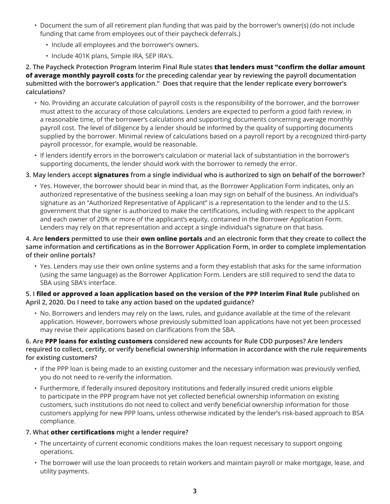- Document the sum of all retirement plan funding that was paid by the borrower's owner(s) (do not include funding that came from employees out of their paycheck deferrals.)
	- Include all employees and the borrower's owners.
	- Include 401K plans, Simple IRA, SEP IRA's.

**2. The Paycheck Protection Program Interim Final Rule states that lenders must "confirm the dollar amount of average monthly payroll costs for the preceding calendar year by reviewing the payroll documentation submitted with the borrower's application." Does that require that the lender replicate every borrower's calculations?**

- No. Providing an accurate calculation of payroll costs is the responsibility of the borrower, and the borrower must attest to the accuracy of those calculations. Lenders are expected to perform a good faith review, in a reasonable time, of the borrower's calculations and supporting documents concerning average monthly payroll cost. The level of diligence by a lender should be informed by the quality of supporting documents supplied by the borrower. Minimal review of calculations based on a payroll report by a recognized third-party payroll processor, for example, would be reasonable.
- If lenders identify errors in the borrower's calculation or material lack of substantiation in the borrower's supporting documents, the lender should work with the borrower to remedy the error.

# **3. May lenders accept signatures from a single individual who is authorized to sign on behalf of the borrower?**

• Yes. However, the borrower should bear in mind that, as the Borrower Application Form indicates, only an authorized representative of the business seeking a loan may sign on behalf of the business. An individual's signature as an "Authorized Representative of Applicant" is a representation to the lender and to the U.S. government that the signer is authorized to make the certifications, including with respect to the applicant and each owner of 20% or more of the applicant's equity, contained in the Borrower Application Form. Lenders may rely on that representation and accept a single individual's signature on that basis.

# **4. Are lenders permitted to use their own online portals and an electronic form that they create to collect the same information and certifications as in the Borrower Application Form, in order to complete implementation of their online portals?**

• Yes. Lenders may use their own online systems and a form they establish that asks for the same information (using the same language) as the Borrower Application Form. Lenders are still required to send the data to SBA using SBA's interface.

#### **5. I filed or approved a loan application based on the version of the PPP Interim Final Rule published on April 2, 2020. Do I need to take any action based on the updated guidance?**

• No. Borrowers and lenders may rely on the laws, rules, and guidance available at the time of the relevant application. However, borrowers whose previously submitted loan applications have not yet been processed may revise their applications based on clarifications from the SBA.

#### **6. Are PPP loans for existing customers considered new accounts for Rule CDD purposes? Are lenders required to collect, certify, or verify beneficial ownership information in accordance with the rule requirements for existing customers?**

- If the PPP loan is being made to an existing customer and the necessary information was previously verified, you do not need to re-verify the information.
- Furthermore, if federally insured depository institutions and federally insured credit unions eligible to participate in the PPP program have not yet collected beneficial ownership information on existing customers, such institutions do not need to collect and verify beneficial ownership information for those customers applying for new PPP loans, unless otherwise indicated by the lender's risk-based approach to BSA compliance.

# **7. What other certifications might a lender require?**

- The uncertainty of current economic conditions makes the loan request necessary to support ongoing operations.
- The borrower will use the loan proceeds to retain workers and maintain payroll or make mortgage, lease, and utility payments.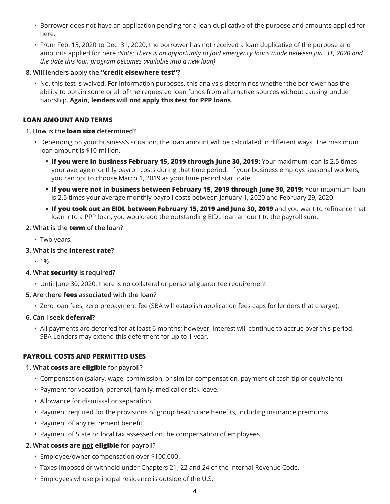- Borrower does not have an application pending for a loan duplicative of the purpose and amounts applied for here.
- From Feb. 15, 2020 to Dec. 31, 2020, the borrower has not received a loan duplicative of the purpose and amounts applied for here *(Note: There is an opportunity to fold emergency loans made between Jan. 31, 2020 and the date this loan program becomes available into a new loan)*
- **8. Will lenders apply the "credit elsewhere test"?**
	- No, this test is waived. For information purposes, this analysis determines whether the borrower has the ability to obtain some or all of the requested loan funds from alternative sources without causing undue hardship. **Again, lenders will not apply this test for PPP loans**.

#### **LOAN AMOUNT AND TERMS**

#### **1. How is the loan size determined?**

- Depending on your business's situation, the loan amount will be calculated in different ways. The maximum loan amount is \$10 million.
	- **• If you were in business February 15, 2019 through June 30, 2019:** Your maximum loan is 2.5 times your average monthly payroll costs during that time period. If your business employs seasonal workers, you can opt to choose March 1, 2019 as your time period start date.
	- **• If you were not in business between February 15, 2019 through June 30, 2019:** Your maximum loan is 2.5 times your average monthly payroll costs between January 1, 2020 and February 29, 2020.
	- **• If you took out an EIDL between February 15, 2019 and June 30, 2019** and you want to refinance that loan into a PPP loan, you would add the outstanding EIDL loan amount to the payroll sum.

#### **2. What is the term of the loan?**

- Two years.
- **3. What is the interest rate?**
	- $-1%$

#### **4. What security is required?**

• Until June 30, 2020, there is no collateral or personal guarantee requirement.

#### **5. Are there fees associated with the loan?**

• Zero loan fees, zero prepayment fee (SBA will establish application fees caps for lenders that charge).

# **6. Can I seek deferral?**

• All payments are deferred for at least 6 months; however, interest will continue to accrue over this period. SBA Lenders may extend this deferment for up to 1 year.

# **PAYROLL COSTS AND PERMITTED USES**

#### **1. What costs are eligible for payroll?**

- Compensation (salary, wage, commission, or similar compensation, payment of cash tip or equivalent).
- Payment for vacation, parental, family, medical or sick leave.
- Allowance for dismissal or separation.
- Payment required for the provisions of group health care benefits, including insurance premiums.
- Payment of any retirement benefit.
- Payment of State or local tax assessed on the compensation of employees.

# **2. What costs are not eligible for payroll?**

- Employee/owner compensation over \$100,000.
- Taxes imposed or withheld under Chapters 21, 22 and 24 of the Internal Revenue Code.
- Employees whose principal residence is outside of the U.S.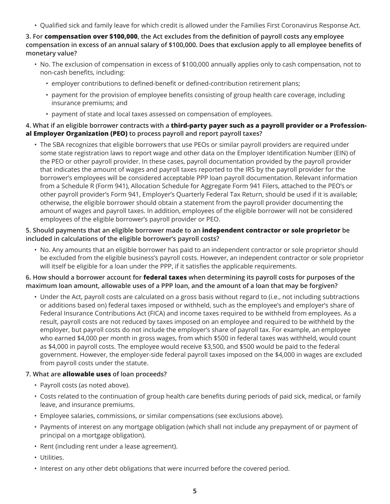• Qualified sick and family leave for which credit is allowed under the Families First Coronavirus Response Act.

**3. For compensation over \$100,000, the Act excludes from the definition of payroll costs any employee compensation in excess of an annual salary of \$100,000. Does that exclusion apply to all employee benefits of monetary value?** 

- No. The exclusion of compensation in excess of \$100,000 annually applies only to cash compensation, not to non-cash benefits, including:
	- employer contributions to defined-benefit or defined-contribution retirement plans;
	- payment for the provision of employee benefits consisting of group health care coverage, including insurance premiums; and
	- payment of state and local taxes assessed on compensation of employees.

#### **4. What if an eligible borrower contracts with a third-party payer such as a payroll provider or a Professional Employer Organization (PEO) to process payroll and report payroll taxes?**

• The SBA recognizes that eligible borrowers that use PEOs or similar payroll providers are required under some state registration laws to report wage and other data on the Employer Identification Number (EIN) of the PEO or other payroll provider. In these cases, payroll documentation provided by the payroll provider that indicates the amount of wages and payroll taxes reported to the IRS by the payroll provider for the borrower's employees will be considered acceptable PPP loan payroll documentation. Relevant information from a Schedule R (Form 941), Allocation Schedule for Aggregate Form 941 Filers, attached to the PEO's or other payroll provider's Form 941, Employer's Quarterly Federal Tax Return, should be used if it is available; otherwise, the eligible borrower should obtain a statement from the payroll provider documenting the amount of wages and payroll taxes. In addition, employees of the eligible borrower will not be considered employees of the eligible borrower's payroll provider or PEO.

#### **5. Should payments that an eligible borrower made to an independent contractor or sole proprietor be included in calculations of the eligible borrower's payroll costs?**

• No. Any amounts that an eligible borrower has paid to an independent contractor or sole proprietor should be excluded from the eligible business's payroll costs. However, an independent contractor or sole proprietor will itself be eligible for a loan under the PPP, if it satisfies the applicable requirements.

#### **6. How should a borrower account for federal taxes when determining its payroll costs for purposes of the maximum loan amount, allowable uses of a PPP loan, and the amount of a loan that may be forgiven?**

• Under the Act, payroll costs are calculated on a gross basis without regard to (i.e., not including subtractions or additions based on) federal taxes imposed or withheld, such as the employee's and employer's share of Federal Insurance Contributions Act (FICA) and income taxes required to be withheld from employees. As a result, payroll costs are not reduced by taxes imposed on an employee and required to be withheld by the employer, but payroll costs do not include the employer's share of payroll tax. For example, an employee who earned \$4,000 per month in gross wages, from which \$500 in federal taxes was withheld, would count as \$4,000 in payroll costs. The employee would receive \$3,500, and \$500 would be paid to the federal government. However, the employer-side federal payroll taxes imposed on the \$4,000 in wages are excluded from payroll costs under the statute.

# **7. What are allowable uses of loan proceeds?**

- Payroll costs (as noted above).
- Costs related to the continuation of group health care benefits during periods of paid sick, medical, or family leave, and insurance premiums.
- Employee salaries, commissions, or similar compensations (see exclusions above).
- Payments of interest on any mortgage obligation (which shall not include any prepayment of or payment of principal on a mortgage obligation).
- Rent (including rent under a lease agreement).
- Utilities.
- Interest on any other debt obligations that were incurred before the covered period.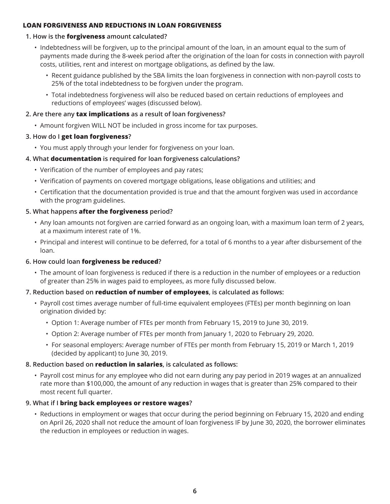#### **LOAN FORGIVENESS AND REDUCTIONS IN LOAN FORGIVENESS**

# **1. How is the forgiveness amount calculated?**

- Indebtedness will be forgiven, up to the principal amount of the loan, in an amount equal to the sum of payments made during the 8-week period after the origination of the loan for costs in connection with payroll costs, utilities, rent and interest on mortgage obligations, as defined by the law.
	- Recent guidance published by the SBA limits the loan forgiveness in connection with non-payroll costs to 25% of the total indebtedness to be forgiven under the program.
	- Total indebtedness forgiveness will also be reduced based on certain reductions of employees and reductions of employees' wages (discussed below).

#### **2. Are there any tax implications as a result of loan forgiveness?**

- Amount forgiven WILL NOT be included in gross income for tax purposes.
- **3. How do I get loan forgiveness?**
	- You must apply through your lender for forgiveness on your loan.

# **4. What documentation is required for loan forgiveness calculations?**

- Verification of the number of employees and pay rates;
- Verification of payments on covered mortgage obligations, lease obligations and utilities; and
- Certification that the documentation provided is true and that the amount forgiven was used in accordance with the program guidelines.

# **5. What happens after the forgiveness period?**

- Any loan amounts not forgiven are carried forward as an ongoing loan, with a maximum loan term of 2 years, at a maximum interest rate of 1%.
- Principal and interest will continue to be deferred, for a total of 6 months to a year after disbursement of the loan.

# **6. How could loan forgiveness be reduced?**

• The amount of loan forgiveness is reduced if there is a reduction in the number of employees or a reduction of greater than 25% in wages paid to employees, as more fully discussed below.

# **7. Reduction based on reduction of number of employees, is calculated as follows:**

- Payroll cost times average number of full-time equivalent employees (FTEs) per month beginning on loan origination divided by:
	- Option 1: Average number of FTEs per month from February 15, 2019 to June 30, 2019.
	- Option 2: Average number of FTEs per month from January 1, 2020 to February 29, 2020.
	- For seasonal employers: Average number of FTEs per month from February 15, 2019 or March 1, 2019 (decided by applicant) to June 30, 2019.

# **8. Reduction based on reduction in salaries, is calculated as follows:**

• Payroll cost minus for any employee who did not earn during any pay period in 2019 wages at an annualized rate more than \$100,000, the amount of any reduction in wages that is greater than 25% compared to their most recent full quarter.

# **9. What if I bring back employees or restore wages?**

• Reductions in employment or wages that occur during the period beginning on February 15, 2020 and ending on April 26, 2020 shall not reduce the amount of loan forgiveness IF by June 30, 2020, the borrower eliminates the reduction in employees or reduction in wages.